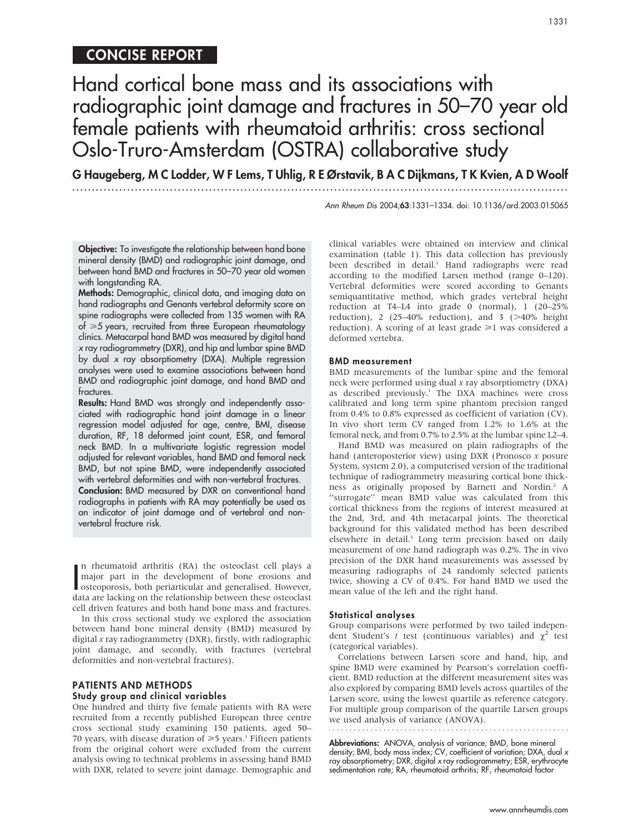# CONCISE REPORT

# Hand cortical bone mass and its associations with radiographic joint damage and fractures in 50–70 year old female patients with rheumatoid arthritis: cross sectional Oslo-Truro-Amsterdam (OSTRA) collaborative study

G Haugeberg, M C Lodder, W F Lems, T Uhlig, R E Ørstavik, B A C Dijkmans, T K Kvien, A D Woolf ...............................................................................................................................

Ann Rheum Dis 2004;63:1331–1334. doi: 10.1136/ard.2003.015065

Objective: To investigate the relationship between hand bone mineral density (BMD) and radiographic joint damage, and between hand BMD and fractures in 50–70 year old women with longstanding RA.

Methods: Demographic, clinical data, and imaging data on hand radiographs and Genants vertebral deformity score on spine radiographs were collected from 135 women with RA of  $\geq 5$  years, recruited from three European rheumatology clinics. Metacarpal hand BMD was measured by digital hand x ray radiogrammetry (DXR), and hip and lumbar spine BMD by dual x ray absorptiometry (DXA). Multiple regression analyses were used to examine associations between hand BMD and radiographic joint damage, and hand BMD and fractures.

Results: Hand BMD was strongly and independently associated with radiographic hand joint damage in a linear regression model adjusted for age, centre, BMI, disease duration, RF, 18 deformed joint count, ESR, and femoral neck BMD. In a multivariate logistic regression model adjusted for relevant variables, hand BMD and femoral neck BMD, but not spine BMD, were independently associated with vertebral deformities and with non-vertebral fractures.

Conclusion: BMD measured by DXR on conventional hand radiographs in patients with RA may potentially be used as an indicator of joint damage and of vertebral and nonvertebral fracture risk.

In rheumatoid arthritis (KA) the osteoclast cell plays a<br>major part in the development of bone erosions and<br>data are localized. However,<br>data are localized. However, n rheumatoid arthritis (RA) the osteoclast cell plays a major part in the development of bone erosions and data are lacking on the relationship between these osteoclast cell driven features and both hand bone mass and fractures.

In this cross sectional study we explored the association between hand bone mineral density (BMD) measured by digital  $x$  ray radiogrammetry (DXR), firstly, with radiographic joint damage, and secondly, with fractures (vertebral deformities and non-vertebral fractures).

## PATIENTS AND METHODS

### Study group and clinical variables

One hundred and thirty five female patients with RA were recruited from a recently published European three centre cross sectional study examining 150 patients, aged 50– 70 years, with disease duration of  $\geq 5$  years.<sup>1</sup> Fifteen patients from the original cohort were excluded from the current analysis owing to technical problems in assessing hand BMD with DXR, related to severe joint damage. Demographic and clinical variables were obtained on interview and clinical examination (table 1). This data collection has previously been described in detail.<sup>1</sup> Hand radiographs were read according to the modified Larsen method (range 0–120). Vertebral deformities were scored according to Genants semiquantitative method, which grades vertebral height reduction at T4–L4 into grade 0 (normal), 1 (20–25% reduction), 2 (25-40% reduction), and 3 ( $>40\%$  height reduction). A scoring of at least grade  $\geq 1$  was considered a deformed vertebra.

#### BMD measurement

BMD measurements of the lumbar spine and the femoral neck were performed using dual x ray absorptiometry (DXA) as described previously.<sup>1</sup> The DXA machines were cross calibrated and long term spine phantom precision ranged from 0.4% to 0.8% expressed as coefficient of variation (CV). In vivo short term CV ranged from 1.2% to 1.6% at the femoral neck, and from 0.7% to 2.5% at the lumbar spine L2–4.

Hand BMD was measured on plain radiographs of the hand (anteroposterior view) using DXR (Pronosco x posure System, system 2.0), a computerised version of the traditional technique of radiogrammetry measuring cortical bone thickness as originally proposed by Barnett and Nordin.2 A "surrogate" mean BMD value was calculated from this cortical thickness from the regions of interest measured at the 2nd, 3rd, and 4th metacarpal joints. The theoretical background for this validated method has been described elsewhere in detail.<sup>3</sup> Long term precision based on daily measurement of one hand radiograph was 0.2%. The in vivo precision of the DXR hand measurements was assessed by measuring radiographs of 24 randomly selected patients twice, showing a CV of 0.4%. For hand BMD we used the mean value of the left and the right hand.

#### Statistical analyses

Group comparisons were performed by two tailed independent Student's t test (continuous variables) and  $\chi^2$  test (categorical variables).

Correlations between Larsen score and hand, hip, and spine BMD were examined by Pearson's correlation coefficient. BMD reduction at the different measurement sites was also explored by comparing BMD levels across quartiles of the Larsen score, using the lowest quartile as reference category. For multiple group comparison of the quartile Larsen groups we used analysis of variance (ANOVA).

Abbreviations: ANOVA, analysis of variance; BMD, bone mineral density; BMI, body mass index; CV, coefficient of variation; DXA, dual x ray absorptiometry; DXR, digital x ray radiogrammetry; ESR, erythrocyte sedimentation rate; RA, rheumatoid arthritis; RF, rheumatoid factor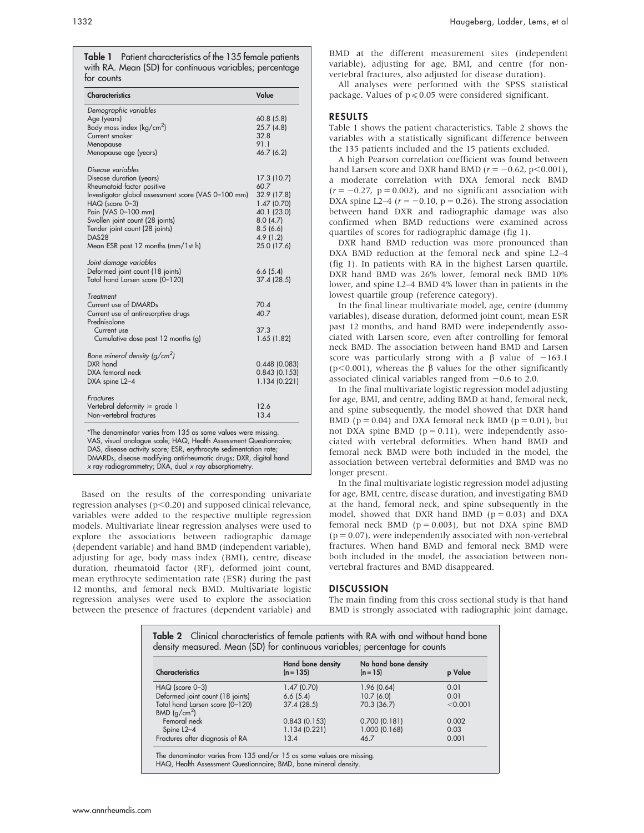Table 1 Patient characteristics of the 135 female patients with RA. Mean (SD) for continuous variables; percentage for counts

| <b>Characteristics</b>                                                                                                                                                                                                                                                                                                                   | Value                                                                                                              |
|------------------------------------------------------------------------------------------------------------------------------------------------------------------------------------------------------------------------------------------------------------------------------------------------------------------------------------------|--------------------------------------------------------------------------------------------------------------------|
| Demographic variables<br>Age (years)<br>Body mass index ( $kg/cm2$ )<br>Current smoker<br>Menopause<br>Menopause age (years)                                                                                                                                                                                                             | 60.8(5.8)<br>25.7(4.8)<br>32.8<br>91.1<br>46.7 (6.2)                                                               |
| Disease variables<br>Disease duration (years)<br>Rheumatoid factor positive<br>Investigator global assessment score (VAS 0-100 mm)<br>HAQ (score 0-3)<br>Pain (VAS 0-100 mm)<br>Swollen joint count (28 joints)<br>Tender joint count (28 joints)<br>DAS28<br>Mean ESR past 12 months (mm/1st h)                                         | 17.3 (10.7)<br>60.7<br>32.9 (17.8)<br>1.47(0.70)<br>40.1 (23.0)<br>8.0(4.7)<br>8.5(6.6)<br>4.9(1.2)<br>25.0 (17.6) |
| Joint damage variables<br>Deformed joint count (18 joints)<br>Total hand Larsen score (0-120)                                                                                                                                                                                                                                            | 6.6(5.4)<br>37.4 (28.5)                                                                                            |
| Treatment<br>Current use of DMARDs<br>Current use of antiresorptive drugs<br>Prednisolone<br>Current use<br>Cumulative dose past 12 months (g)                                                                                                                                                                                           | 70.4<br>40.7<br>37.3<br>1.65(1.82)                                                                                 |
| Bone mineral density $(g/cm2)$<br>DXR hand<br>DXA femoral neck<br>DXA spine L2-4                                                                                                                                                                                                                                                         | 0.448(0.083)<br>0.843(0.153)<br>1.134(0.221)                                                                       |
| Fractures<br>Vertebral deformity $\ge$ grade 1<br>Non-vertebral fractures                                                                                                                                                                                                                                                                | 12.6<br>13.4                                                                                                       |
| *The denominator varies from 135 as some values were missing.<br>VAS, visual analogue scale; HAQ, Health Assessment Questionnaire;<br>DAS, disease activity score; ESR, erythrocyte sedimentation rate;<br>DMARDs, disease modifying antirheumatic drugs; DXR, digital hand<br>$x$ ray radiogrammetry; DXA, dual $x$ ray absorptiometry. |                                                                                                                    |

Based on the results of the corresponding univariate regression analyses ( $p<0.20$ ) and supposed clinical relevance, variables were added to the respective multiple regression models. Multivariate linear regression analyses were used to explore the associations between radiographic damage (dependent variable) and hand BMD (independent variable), adjusting for age, body mass index (BMI), centre, disease duration, rheumatoid factor (RF), deformed joint count, mean erythrocyte sedimentation rate (ESR) during the past 12 months, and femoral neck BMD. Multivariate logistic regression analyses were used to explore the association between the presence of fractures (dependent variable) and BMD at the different measurement sites (independent variable), adjusting for age, BMI, and centre (for nonvertebral fractures, also adjusted for disease duration).

All analyses were performed with the SPSS statistical package. Values of  $p \le 0.05$  were considered significant.

### RESULTS

Table 1 shows the patient characteristics. Table 2 shows the variables with a statistically significant difference between the 135 patients included and the 15 patients excluded.

A high Pearson correlation coefficient was found between hand Larsen score and DXR hand BMD ( $r = -0.62$ , p $\leq 0.001$ ), a moderate correlation with DXA femoral neck BMD  $(r = -0.27, p = 0.002)$ , and no significant association with DXA spine L2–4 ( $r = -0.10$ , p = 0.26). The strong association between hand DXR and radiographic damage was also confirmed when BMD reductions were examined across quartiles of scores for radiographic damage (fig 1).

DXR hand BMD reduction was more pronounced than DXA BMD reduction at the femoral neck and spine L2–4 (fig 1). In patients with RA in the highest Larsen quartile, DXR hand BMD was 26% lower, femoral neck BMD 10% lower, and spine L2–4 BMD 4% lower than in patients in the lowest quartile group (reference category).

In the final linear multivariate model, age, centre (dummy variables), disease duration, deformed joint count, mean ESR past 12 months, and hand BMD were independently associated with Larsen score, even after controlling for femoral neck BMD. The association between hand BMD and Larsen score was particularly strong with a  $\beta$  value of -163.1 ( $p$ <0.001), whereas the  $\beta$  values for the other significantly associated clinical variables ranged from  $-0.6$  to 2.0.

In the final multivariate logistic regression model adjusting for age, BMI, and centre, adding BMD at hand, femoral neck, and spine subsequently, the model showed that DXR hand BMD ( $p = 0.04$ ) and DXA femoral neck BMD ( $p = 0.01$ ), but not DXA spine BMD ( $p = 0.11$ ), were independently associated with vertebral deformities. When hand BMD and femoral neck BMD were both included in the model, the association between vertebral deformities and BMD was no longer present.

In the final multivariate logistic regression model adjusting for age, BMI, centre, disease duration, and investigating BMD at the hand, femoral neck, and spine subsequently in the model, showed that DXR hand BMD ( $p = 0.03$ ) and DXA femoral neck BMD ( $p = 0.003$ ), but not DXA spine BMD  $(p = 0.07)$ , were independently associated with non-vertebral fractures. When hand BMD and femoral neck BMD were both included in the model, the association between nonvertebral fractures and BMD disappeared.

## **DISCUSSION**

The main finding from this cross sectional study is that hand BMD is strongly associated with radiographic joint damage,

| <b>Characteristics</b>                                      | <b>Hand bone density</b><br>$(n = 135)$ | No hand bone density<br>$(n = 15)$ | p Value |
|-------------------------------------------------------------|-----------------------------------------|------------------------------------|---------|
| $HAG$ (score $0-3$ )                                        | 1.47(0.70)                              | 1.96(0.64)                         | 0.01    |
| Deformed joint count (18 joints)                            | 6.6(5.4)                                | 10.7(6.0)                          | 0.01    |
| Total hand Larsen score (0-120)<br>BMD (q/cm <sup>2</sup> ) | 37.4(28.5)                              | 70.3 (36.7)                        | < 0.001 |
| Femoral neck                                                | 0.843(0.153)                            | 0.700(0.181)                       | 0.002   |
| Spine L2-4                                                  | 1.134(0.221)                            | 1.000 (0.168)                      | 0.03    |
| Fractures after diagnosis of RA                             | 13.4                                    | 46.7                               | 0.001   |

HAQ, Health Assessment Questionnaire; BMD, bone mineral density.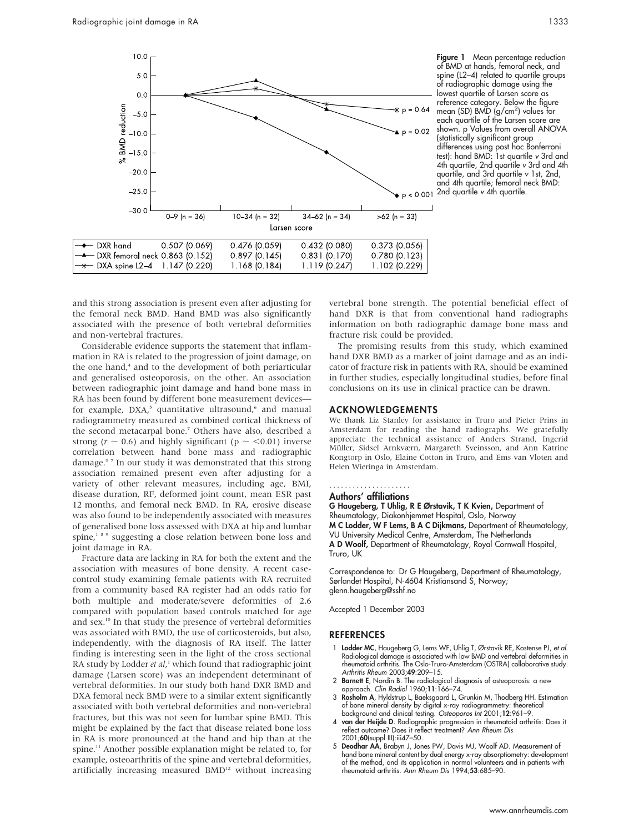

Figure 1 Mean percentage reduction of BMD at hands, femoral neck, and spine (L2–4) related to quartile groups of radiographic damage using the lowest quartile of Larsen score as reference category. Below the figure mean (SD) BMD (g/cm<sup>2</sup>) values for each quartile of the Larsen score are shown. p Values from overall ANOVA (statistically significant group differences using post hoc Bonferroni test): hand BMD: 1st quartile v 3rd and 4th quartile, 2nd quartile v 3rd and 4th quartile, and 3rd quartile v 1st, 2nd, and 4th quartile; femoral neck BMD: 2nd quartile v 4th quartile.

and this strong association is present even after adjusting for the femoral neck BMD. Hand BMD was also significantly associated with the presence of both vertebral deformities and non-vertebral fractures.

Considerable evidence supports the statement that inflammation in RA is related to the progression of joint damage, on the one hand,<sup>4</sup> and to the development of both periarticular and generalised osteoporosis, on the other. An association between radiographic joint damage and hand bone mass in RA has been found by different bone measurement devicesfor example,  $DXA$ ,<sup>5</sup> quantitative ultrasound, $6$  and manual radiogrammetry measured as combined cortical thickness of the second metacarpal bone.7 Others have also, described a strong ( $r \sim 0.6$ ) and highly significant (p  $\sim$  <0.01) inverse correlation between hand bone mass and radiographic damage.5 7 In our study it was demonstrated that this strong association remained present even after adjusting for a variety of other relevant measures, including age, BMI, disease duration, RF, deformed joint count, mean ESR past 12 months, and femoral neck BMD. In RA, erosive disease was also found to be independently associated with measures of generalised bone loss assessed with DXA at hip and lumbar spine,<sup>189</sup> suggesting a close relation between bone loss and joint damage in RA.

Fracture data are lacking in RA for both the extent and the association with measures of bone density. A recent casecontrol study examining female patients with RA recruited from a community based RA register had an odds ratio for both multiple and moderate/severe deformities of 2.6 compared with population based controls matched for age and sex.10 In that study the presence of vertebral deformities was associated with BMD, the use of corticosteroids, but also, independently, with the diagnosis of RA itself. The latter finding is interesting seen in the light of the cross sectional RA study by Lodder et al,<sup>1</sup> which found that radiographic joint damage (Larsen score) was an independent determinant of vertebral deformities. In our study both hand DXR BMD and DXA femoral neck BMD were to a similar extent significantly associated with both vertebral deformities and non-vertebral fractures, but this was not seen for lumbar spine BMD. This might be explained by the fact that disease related bone loss in RA is more pronounced at the hand and hip than at the spine.<sup>11</sup> Another possible explanation might be related to, for example, osteoarthritis of the spine and vertebral deformities, artificially increasing measured BMD<sup>12</sup> without increasing vertebral bone strength. The potential beneficial effect of hand DXR is that from conventional hand radiographs information on both radiographic damage bone mass and fracture risk could be provided.

The promising results from this study, which examined hand DXR BMD as a marker of joint damage and as an indicator of fracture risk in patients with RA, should be examined in further studies, especially longitudinal studies, before final conclusions on its use in clinical practice can be drawn.

#### ACKNOWLEDGEMENTS

We thank Liz Stanley for assistance in Truro and Pieter Prins in Amsterdam for reading the hand radiographs. We gratefully appreciate the technical assistance of Anders Strand, Ingerid Müller, Sidsel Arnkværn, Margareth Sveinsson, and Ann Katrine Kongtorp in Oslo, Elaine Cotton in Truro, and Ems van Vloten and Helen Wieringa in Amsterdam.

#### Authors' affiliations .....................

G Haugeberg, T Uhlig, R E Ørstavik, T K Kvien, Department of Rheumatology, Diakonhjemmet Hospital, Oslo, Norway M C Lodder, W F Lems, B A C Dijkmans, Department of Rheumatology, VU University Medical Centre, Amsterdam, The Netherlands A D Woolf, Department of Rheumatology, Royal Cornwall Hospital, Truro, UK

Correspondence to: Dr G Haugeberg, Department of Rheumatology, Sørlandet Hospital, N-4604 Kristiansand S, Norway; glenn.haugeberg@sshf.no

Accepted 1 December 2003

#### REFERENCES

- 1 **Lodder MC**, Haugeberg G, Lems WF, Uhlig T, Ørstavik RE, Kostense PJ, *et al.*<br>Radiological damage is associated with low BMD and vertebral deformities in<br>-rheumatoid arthritis. The Oslo-Truro-Amsterdam (OSTRA) collabora Arthritis Rheum 2003;49:209-15.
- 2 Barnett E, Nordin B. The radiological diagnosis of osteoporosis: a new approach. Clin Radiol 1960;11:166–74.
- 3 Rosholm A, Hyldstrup L, Baeksgaard L, Grunkin M, Thodberg HH. Estimation of bone mineral density by digital x-ray radiogrammetry: theoretical background and clinical testing. Osteoporos Int 2001;12:961-9.
- 4 van der Heijde D. Radiographic progression in rheumatoid arthritis: Does it reflect outcome? Does it reflect treatment? Ann Rheum Dis 2001;60(suppl III):iii47–50.
- 5 Deodhar AA, Brabyn J, Jones PW, Davis MJ, Woolf AD. Measurement of hand bone mineral content by dual energy x-ray absorptiometry: development of the method, and its application in normal volunteers and in patients with rheumatoid arthritis. Ann Rheum Dis 1994;53:685–90.